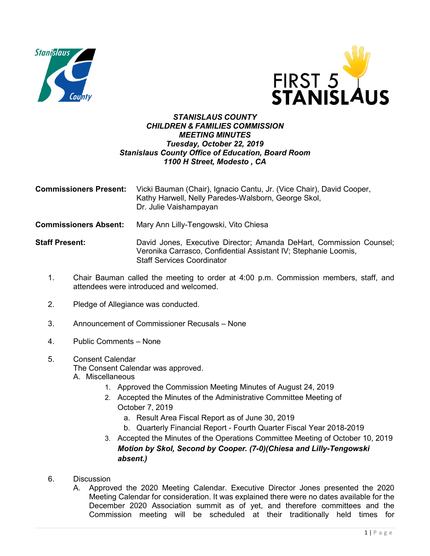



## *STANISLAUS COUNTY CHILDREN & FAMILIES COMMISSION MEETING MINUTES Tuesday, October 22, 2019 Stanislaus County Office of Education, Board Room 1100 H Street, Modesto , CA*

| <b>Commissioners Present:</b> | Vicki Bauman (Chair), Ignacio Cantu, Jr. (Vice Chair), David Cooper,<br>Kathy Harwell, Nelly Paredes-Walsborn, George Skol,<br>Dr. Julie Vaishampayan                       |
|-------------------------------|-----------------------------------------------------------------------------------------------------------------------------------------------------------------------------|
| <b>Commissioners Absent:</b>  | Mary Ann Lilly-Tengowski, Vito Chiesa                                                                                                                                       |
| <b>Staff Present:</b>         | David Jones, Executive Director; Amanda DeHart, Commission Counsel;<br>Veronika Carrasco, Confidential Assistant IV; Stephanie Loomis,<br><b>Staff Services Coordinator</b> |

- 1. Chair Bauman called the meeting to order at 4:00 p.m. Commission members, staff, and attendees were introduced and welcomed.
- 2. Pledge of Allegiance was conducted.
- 3. Announcement of Commissioner Recusals None
- 4. Public Comments None
- 5. Consent Calendar
	- The Consent Calendar was approved.
	- A. Miscellaneous
		- 1. Approved the Commission Meeting Minutes of August 24, 2019
		- 2. Accepted the Minutes of the Administrative Committee Meeting of October 7, 2019
			- a. Result Area Fiscal Report as of June 30, 2019
			- b. Quarterly Financial Report Fourth Quarter Fiscal Year 2018-2019
		- 3. Accepted the Minutes of the Operations Committee Meeting of October 10, 2019 *Motion by Skol, Second by Cooper. (7-0)(Chiesa and Lilly-Tengowski absent.)*
- 6. Discussion
	- A. Approved the 2020 Meeting Calendar. Executive Director Jones presented the 2020 Meeting Calendar for consideration. It was explained there were no dates available for the December 2020 Association summit as of yet, and therefore committees and the Commission meeting will be scheduled at their traditionally held times for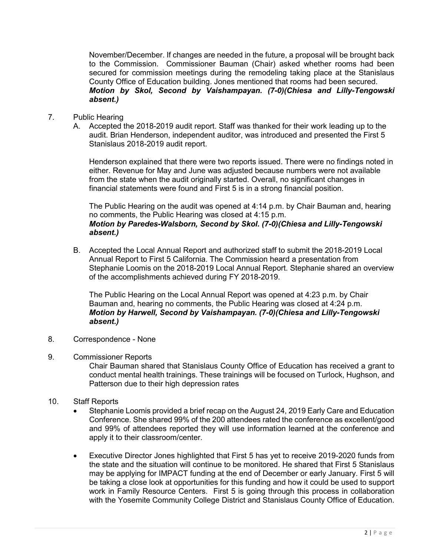November/December. If changes are needed in the future, a proposal will be brought back to the Commission. Commissioner Bauman (Chair) asked whether rooms had been secured for commission meetings during the remodeling taking place at the Stanislaus County Office of Education building. Jones mentioned that rooms had been secured. *Motion by Skol, Second by Vaishampayan. (7-0)(Chiesa and Lilly-Tengowski absent.)*

## 7. Public Hearing

A. Accepted the 2018-2019 audit report. Staff was thanked for their work leading up to the audit. Brian Henderson, independent auditor, was introduced and presented the First 5 Stanislaus 2018-2019 audit report.

Henderson explained that there were two reports issued. There were no findings noted in either. Revenue for May and June was adjusted because numbers were not available from the state when the audit originally started. Overall, no significant changes in financial statements were found and First 5 is in a strong financial position.

The Public Hearing on the audit was opened at 4:14 p.m. by Chair Bauman and, hearing no comments, the Public Hearing was closed at 4:15 p.m. *Motion by Paredes-Walsborn, Second by Skol. (7-0)(Chiesa and Lilly-Tengowski absent.)*

B. Accepted the Local Annual Report and authorized staff to submit the 2018-2019 Local Annual Report to First 5 California. The Commission heard a presentation from Stephanie Loomis on the 2018-2019 Local Annual Report. Stephanie shared an overview of the accomplishments achieved during FY 2018-2019.

The Public Hearing on the Local Annual Report was opened at 4:23 p.m. by Chair Bauman and, hearing no comments, the Public Hearing was closed at 4:24 p.m. *Motion by Harwell, Second by Vaishampayan. (7-0)(Chiesa and Lilly-Tengowski absent.)*

- 8. Correspondence None
- 9. Commissioner Reports

Chair Bauman shared that Stanislaus County Office of Education has received a grant to conduct mental health trainings. These trainings will be focused on Turlock, Hughson, and Patterson due to their high depression rates

- 10. Staff Reports
	- Stephanie Loomis provided a brief recap on the August 24, 2019 Early Care and Education Conference. She shared 99% of the 200 attendees rated the conference as excellent/good and 99% of attendees reported they will use information learned at the conference and apply it to their classroom/center.
	- Executive Director Jones highlighted that First 5 has yet to receive 2019-2020 funds from the state and the situation will continue to be monitored. He shared that First 5 Stanislaus may be applying for IMPACT funding at the end of December or early January. First 5 will be taking a close look at opportunities for this funding and how it could be used to support work in Family Resource Centers. First 5 is going through this process in collaboration with the Yosemite Community College District and Stanislaus County Office of Education.